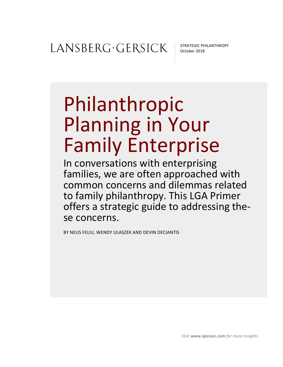STRATEGIC PHILANTHROPY October 2018

# Philanthropic Planning in Your Family Enterprise

In conversations with enterprising families, we are often approached with common concerns and dilemmas related to family philanthropy. This LGA Primer offers a strategic guide to addressing these concerns.

BY NEUS FELIU, WENDY ULASZEK AND DEVIN DECIANTIS

*Visit* www.lgassoc.com for more insights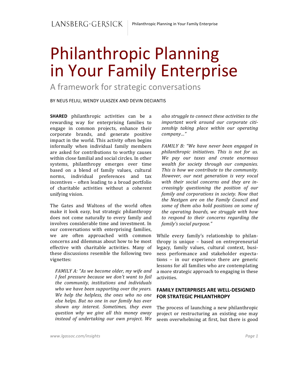## Philanthropic Planning in Your Family Enterprise

A framework for strategic conversations

BY NEUS FELIU, WENDY ULASZEK AND DEVIN DECIANTIS

**SHARED** philanthropic activities can be a rewarding way for enterprising families to engage in common projects, enhance their corporate brands, and generate positive impact in the world. This activity often begins informally when individual family members are asked for contributions to worthy causes within close familial and social circles. In other systems, philanthropy emerges over time based on a blend of family values, cultural norms, individual preferences and tax incentives – often leading to a broad portfolio of charitable activities without a coherent unifying vision.

The Gates and Waltons of the world often make it look easy, but strategic philanthropy does not come naturally to every family and involves considerable time and investment. In our conversations with enterprising families, we are often approached with common concerns and dilemmas about how to be most effective with charitable activities. Many of these discussions resemble the following two vignettes:

*FAMILY A: "As we become older, my wife and I* feel pressure because we don't want to fail *the community, institutions and individuals*  who we have been supporting over the years. *We help the helpless, the ones who no one else helps. But no one in our family has ever shown any interest. Sometimes, they even question why we give all this money away instead of undertaking our own project. We* 

*also struggle to connect these activities to the* important work around our corporate citi*zenship taking place within our operating company…"*

*FAMILY B: "We have never been engaged in philanthropic initiatives. This is not for us. We pay our taxes and create enormous*  wealth for society through our companies. This is how we contribute to the community. However, our next generation is very vocal with their social concerns and they are in*creasingly questioning the position of our family and corporations in society. Now that the Nextgen are on the Family Council and* some of them also hold positions on some of *the operating boards, we struggle with how to respond to their concerns regarding the family's social purpose."*

While every family's relationship to philanthropy is unique  $-$  based on entrepreneurial legacy, family values, cultural context, business performance and stakeholder expectations - in our experience there are generic lessons for all families who are contemplating a more strategic approach to engaging in these activities. 

#### **FAMILY ENTERPRISES ARE WELL-DESIGNED FOR STRATEGIC PHILANTHROPY**

The process of launching a new philanthropic project or restructuring an existing one may seem overwhelming at first, but there is good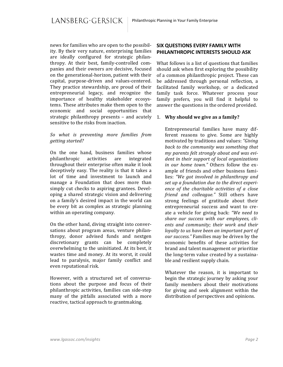news for families who are open to the possibility. By their very nature, enterprising families are ideally configured for strategic philanthropy. At their best, family-controlled companies and their owners are decisive, focused on the generational-horizon, patient with their capital, purpose-driven and values-centered. They practice stewardship, are proud of their entrepreneurial legacy, and recognize the importance of healthy stakeholder ecosystems. These attributes make them open to the economic and social opportunities that strategic philanthropy presents  $-$  and acutely sensitive to the risks from inaction.

#### *So what is preventing more families from getting started?*

On the one hand, business families whose philanthropic activities are integrated throughout their enterprise often make it look deceptively easy. The reality is that it takes a lot of time and investment to launch and manage a Foundation that does more than simply cut checks to aspiring grantees. Developing a shared strategic vision and delivering on a family's desired impact in the world can be every bit as complex as strategic planning within an operating company.

On the other hand, diving straight into conversations about program areas, venture philanthropy, donor advised funds and nextgen discretionary grants can be completely overwhelming to the uninitiated. At its best, it wastes time and money. At its worst, it could lead to paralysis, major family conflict and even reputational risk.

However, with a structured set of conversations about the purpose and focus of their philanthropic activities, families can side-step many of the pitfalls associated with a more reactive, tactical approach to grantmaking.

#### **SIX QUESTIONS EVERY FAMILY WITH PHILANTHROPIC INTERESTS SHOULD ASK**

What follows is a list of questions that families should ask when first exploring the possibility of a common philanthropic project. These can be addressed through personal reflection, a facilitated family workshop, or a dedicated family task force. Whatever process your family prefers, you will find it helpful to answer the questions in the ordered provided.

#### 1. Why should we give as a family?

Entrepreneurial families have many different reasons to give. Some are highly motivated by traditions and values: "Giving back to the community was something that my parents felt strongly about and was evident in their support of local organizations *in our home town."* Others follow the example of friends and other business families: "We got involved in philanthropy and set up a foundation due to the direct experience of the charitable activities of a close *friend and colleague."* Still others have strong feelings of gratitude about their entrepreneurial success and want to create a vehicle for giving back: "We need to share our success with our employees, clients and community; their work and their *loyalty to us have been an important part of* our success." Families may be driven by the economic benefits of these activities for brand and talent management or prioritize the long-term value created by a sustainable and resilient supply chain.

Whatever the reason, it is important to begin the strategic journey by asking your family members about their motivations for giving and seek alignment within the distribution of perspectives and opinions.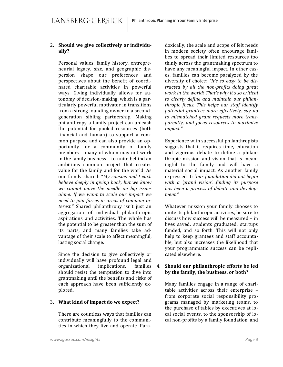#### 2. Should we give collectively or individu**ally?**

Personal values, family history, entrepreneurial legacy, size, and geographic dispersion shape our preferences and perspectives about the benefit of coordinated charitable activities in powerful ways. Giving individually allows for autonomy of decision-making, which is a particularly powerful motivator in transitions from a strong founding owner to a secondgeneration sibling partnership. Making philanthropy a family project can unleash the potential for pooled resources (both financial and human) to support a common purpose and can also provide an opportunity for a community of family members - many of whom may not work in the family business - to unite behind an ambitious common project that creates value for the family and for the world. As one family shared: "My cousins and I each *believe deeply in giving back, but we know we cannot move the needle on big issues alone. If we want to scale our impact we need to join forces in areas of common interest.*" Shared philanthropy isn't just an aggregation of individual philanthropic aspirations and activities. The whole has the potential to be greater than the sum of its parts, and many families take advantage of their scale to affect meaningful, lasting social change.

Since the decision to give collectively or individually will have profound legal and organizational implications, families should resist the temptation to dive into grantmaking until the benefits and risks of each approach have been sufficiently explored.

#### 3. What kind of impact do we expect?

There are countless ways that families can contribute meaningfully to the communities in which they live and operate. Para-

doxically, the scale and scope of felt needs in modern society often encourage families to spread their limited resources too thinly across the grantmaking spectrum to have any meaningful impact. In other cases, families can become paralyzed by the diversity of choice: "It's so easy to be dis*tracted by all the non-profits doing great*  work in the world! That's why it's so critical to clearly define and maintain our philan*thropic focus. This helps our staff identify potential grantees more effectively, say no*  to mismatched grant requests more trans*parently, and focus resources to maximize impact."*

Experience with successful philanthropists suggests that it requires time, education and vigorous debate to define a philanthropic mission and vision that is meaningful to the family and will have a material social impact. As another family expressed it: "our foundation did not begin *with a 'grand vision'…finding its purpose*  has been a process of debate and develop*ment."*

Whatever mission your family chooses to unite its philanthropic activities, be sure to discuss how success will be measured – in lives saved, students graduated, startups funded, and so forth. This will not only help to keep grantees and staff accountable, but also increases the likelihood that your programmatic success can be replicated elsewhere.

#### 4. **Should our philanthropic efforts be led** by the family, the business, or both?

Many families engage in a range of charitable activities across their enterprise from corporate social responsibility programs managed by marketing teams, to the purchase of tables by executives at local social events, to the sponsorship of local non-profits by a family foundation, and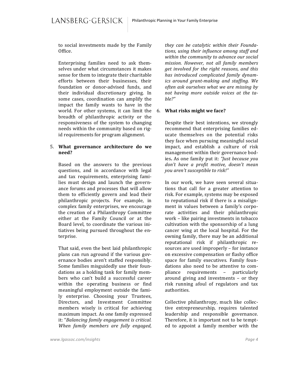to social investments made by the Family Office. 

Enterprising families need to ask themselves under what circumstances it makes sense for them to integrate their charitable efforts between their businesses, their foundation or donor-advised funds, and their individual discretionary giving. In some cases, coordination can amplify the impact the family wants to have in the world. For other systems, it can limit the breadth of philanthropic activity or the responsiveness of the system to changing needs within the community based on rigid requirements for program alignment.

#### 5. **What governance architecture do we need?**

Based on the answers to the previous questions, and in accordance with legal and tax requirements, enterprising families must design and launch the governance forums and processes that will allow them to efficiently govern and lead their philanthropic projects. For example, in complex family enterprises, we encourage the creation of a Philanthropy Committee either at the Family Council or at the Board level, to coordinate the various initiatives being pursued throughout the enterprise. 

That said, even the best laid philanthropic plans can run aground if the various governance bodies aren't staffed responsibly. Some families misguidedly use their foundations as a holding tank for family members who can't build a successful career within the operating business or find meaningful employment outside the family enterprise. Choosing your Trustees, Directors, and Investment Committee members wisely is critical for achieving maximum impact. As one family expressed it: "Balancing family engagement is critical. When family members are fully engaged,

*they can be catalytic within their Founda*tions, using their influence among staff and *within the community to advance our social mission. However, not all family members*  get involved for the right reasons, and this has introduced complicated family dynam*ics around grant-making and staffing. We often ask ourselves what we are missing by not having more outside voices at the table?"*

#### 6. **What risks might we face?**

Despite their best intentions, we strongly recommend that enterprising families educate themselves on the potential risks they face when pursuing meaningful social impact, and establish a culture of risk management within their governance bodies. As one family put it: *"Just because you* don't have a profit motive, doesn't mean *you aren't susceptible to risk!"*

In our work, we have seen several situations that call for a greater attention to risk. For example, systems may be exposed to reputational risk if there is a misalignment in values between a family's corporate activities and their philanthropic work – like pairing investments in tobacco cultivation with the sponsorship of a lung cancer wing at the local hospital. For the owning family, there may be an additional reputational risk if philanthropic resources are used improperly – for instance on excessive compensation or flashy office space for family executives. Family foundations also need to be attentive to compliance requirements – particularly around giving and investments  $-$  or they risk running afoul of regulators and tax authorities. 

Collective philanthropy, much like collective entrepreneurship, requires talented leadership and responsible governance. Therefore, it is important not to be tempted to appoint a family member with the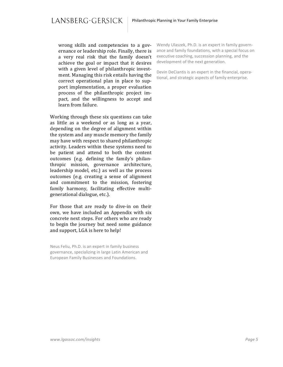wrong skills and competencies to a governance or leadership role. Finally, there is a very real risk that the family doesn't achieve the goal or impact that it desires with a given level of philanthropic investment. Managing this risk entails having the correct operational plan in place to support implementation, a proper evaluation process of the philanthropic project impact, and the willingness to accept and learn from failure.

Working through these six questions can take as little as a weekend or as long as a year, depending on the degree of alignment within the system and any muscle memory the family may have with respect to shared philanthropic activity. Leaders within these systems need to be patient and attend to both the content outcomes (e.g. defining the family's philanthropic mission, governance architecture, leadership model, etc.) as well as the process outcomes (e.g. creating a sense of alignment and commitment to the mission, fostering family harmony, facilitating effective multigenerational dialogue, etc.).

For those that are ready to dive-in on their own, we have included an Appendix with six concrete next steps. For others who are ready to begin the journey but need some guidance and support, LGA is here to help!

Neus Feliu, Ph.D. is an expert in family business governance, specializing in large Latin American and European Family Businesses and Foundations.

Wendy Ulaszek, Ph.D. is an expert in family governance and family foundations, with a special focus on executive coaching, succession planning, and the development of the next generation.

Devin DeCiantis is an expert in the financial, operational, and strategic aspects of family enterprise.